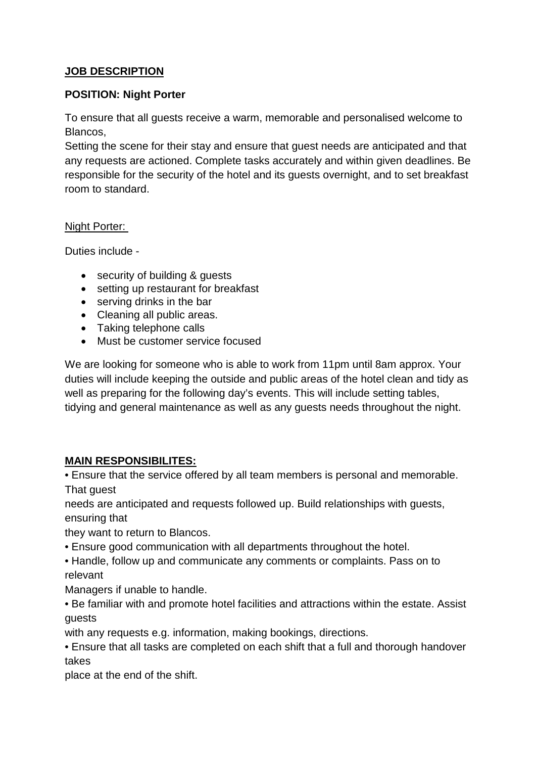# **JOB DESCRIPTION**

#### **POSITION: Night Porter**

To ensure that all guests receive a warm, memorable and personalised welcome to Blancos,

Setting the scene for their stay and ensure that guest needs are anticipated and that any requests are actioned. Complete tasks accurately and within given deadlines. Be responsible for the security of the hotel and its guests overnight, and to set breakfast room to standard.

#### Night Porter:

Duties include -

- security of building & guests
- setting up restaurant for breakfast
- serving drinks in the bar
- Cleaning all public areas.
- Taking telephone calls
- Must be customer service focused

We are looking for someone who is able to work from 11pm until 8am approx. Your duties will include keeping the outside and public areas of the hotel clean and tidy as well as preparing for the following day's events. This will include setting tables, tidying and general maintenance as well as any guests needs throughout the night.

## **MAIN RESPONSIBILITES:**

• Ensure that the service offered by all team members is personal and memorable. That guest

needs are anticipated and requests followed up. Build relationships with guests, ensuring that

they want to return to Blancos.

- Ensure good communication with all departments throughout the hotel.
- Handle, follow up and communicate any comments or complaints. Pass on to relevant

Managers if unable to handle.

- Be familiar with and promote hotel facilities and attractions within the estate. Assist guests
- with any requests e.g. information, making bookings, directions.
- Ensure that all tasks are completed on each shift that a full and thorough handover takes

place at the end of the shift.